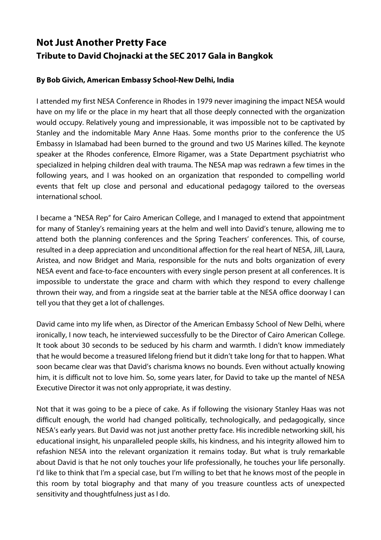## **Not Just Another Pretty Face Tribute to David Chojnacki at the SEC 2017 Gala in Bangkok**

## **By Bob Givich, American Embassy School-New Delhi, India**

I attended my first NESA Conference in Rhodes in 1979 never imagining the impact NESA would have on my life or the place in my heart that all those deeply connected with the organization would occupy. Relatively young and impressionable, it was impossible not to be captivated by Stanley and the indomitable Mary Anne Haas. Some months prior to the conference the US Embassy in Islamabad had been burned to the ground and two US Marines killed. The keynote speaker at the Rhodes conference, Elmore Rigamer, was a State Department psychiatrist who specialized in helping children deal with trauma. The NESA map was redrawn a few times in the following years, and I was hooked on an organization that responded to compelling world events that felt up close and personal and educational pedagogy tailored to the overseas international school.

I became a "NESA Rep" for Cairo American College, and I managed to extend that appointment for many of Stanley's remaining years at the helm and well into David's tenure, allowing me to attend both the planning conferences and the Spring Teachers' conferences. This, of course, resulted in a deep appreciation and unconditional affection for the real heart of NESA, Jill, Laura, Aristea, and now Bridget and Maria, responsible for the nuts and bolts organization of every NESA event and face-to-face encounters with every single person present at all conferences. It is impossible to understate the grace and charm with which they respond to every challenge thrown their way, and from a ringside seat at the barrier table at the NESA office doorway I can tell you that they get a lot of challenges.

David came into my life when, as Director of the American Embassy School of New Delhi, where ironically, I now teach, he interviewed successfully to be the Director of Cairo American College. It took about 30 seconds to be seduced by his charm and warmth. I didn't know immediately that he would become a treasured lifelong friend but it didn't take long for that to happen. What soon became clear was that David's charisma knows no bounds. Even without actually knowing him, it is difficult not to love him. So, some years later, for David to take up the mantel of NESA Executive Director it was not only appropriate, it was destiny.

Not that it was going to be a piece of cake. As if following the visionary Stanley Haas was not difficult enough, the world had changed politically, technologically, and pedagogically, since NESA's early years. But David was not just another pretty face. His incredible networking skill, his educational insight, his unparalleled people skills, his kindness, and his integrity allowed him to refashion NESA into the relevant organization it remains today. But what is truly remarkable about David is that he not only touches your life professionally, he touches your life personally. I'd like to think that I'm a special case, but I'm willing to bet that he knows most of the people in this room by total biography and that many of you treasure countless acts of unexpected sensitivity and thoughtfulness just as I do.